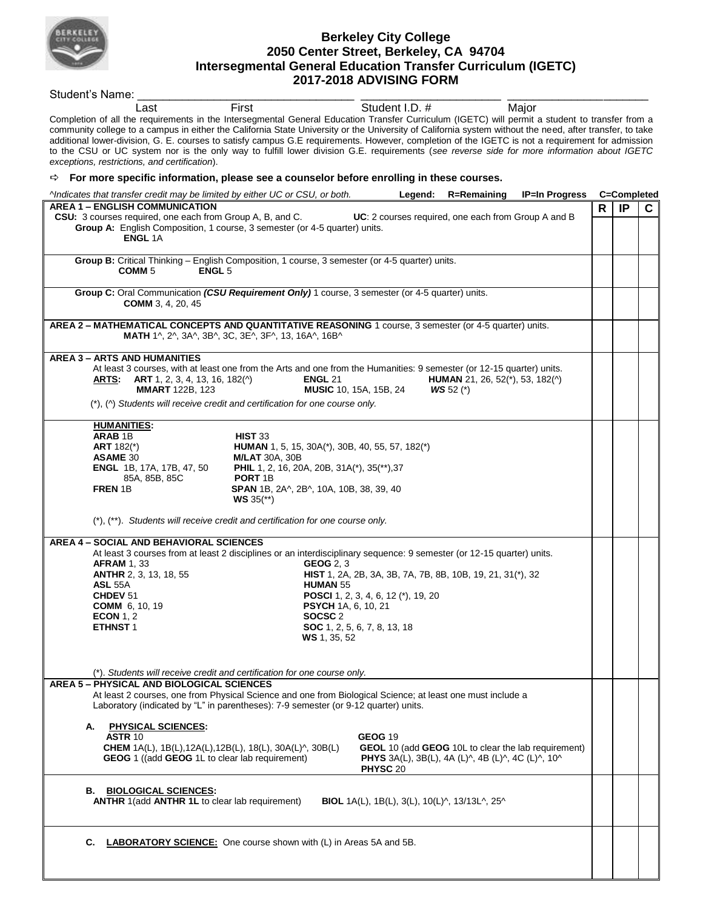

## **Berkeley City College 2050 Center Street, Berkeley, CA 94704 Intersegmental General Education Transfer Curriculum (IGETC) 2017-2018 ADVISING FORM**

Student's Name: Last First **First** Student I.D. # Major Completion of all the requirements in the Intersegmental General Education Transfer Curriculum (IGETC) will permit a student to transfer from a community college to a campus in either the California State University or the University of California system without the need, after transfer, to take additional lower-division, G. E. courses to satisfy campus G.E requirements. However, completion of the IGETC is not a requirement for admission to the CSU or UC system nor is the only way to fulfill lower division G.E. requirements (*see reverse side for more information about IGETC exceptions, restrictions, and certification*). **For more specific information, please see a counselor before enrolling in these courses.** *^Indicates that transfer credit may be limited by either UC or CSU, or both.* **Legend: R=Remaining IP=In Progress C=Completed AREA 1 – ENGLISH COMMUNICATION CSU:** 3 courses required, one each from Group A, B, and C. **UC**: 2 courses required, one each from Group A and B **Group A:** English Composition, 1 course, 3 semester (or 4-5 quarter) units. **ENGL** 1A **R IP C Group B:** Critical Thinking – English Composition, 1 course, 3 semester (or 4-5 quarter) units.  **COMM** 5 **ENGL** 5 **Group C:** Oral Communication *(CSU Requirement Only)* 1 course, 3 semester (or 4-5 quarter) units. **COMM** 3, 4, 20, 45 **AREA 2 – MATHEMATICAL CONCEPTS AND QUANTITATIVE REASONING** 1 course, 3 semester (or 4-5 quarter) units.  **MATH** 1^, 2^, 3A^, 3B^, 3C, 3E^, 3F^, 13, 16A^, 16B^ **AREA 3 – ARTS AND HUMANITIES** At least 3 courses, with at least one from the Arts and one from the Humanities: 9 semester (or 12-15 quarter) units.<br>**ARTS: ART** 1, 2, 3, 4, 13, 16, 182(^) **ENGL** 21 **HUMAN** 21, 26, 52(\*), 53, 182(^) **ARTS: ART** 1, 2, 3, 4, 13, 16, 182(^) **ENGL** 21 **HUMAN** 21, 26, 52(\*), 53, 182(^)  **MMART** 122B, 123 **MUSIC** 10, 15A, 15B, 24 *WS* 52 (\*)(\*), (^) *Students will receive credit and certification for one course only.*   **HUMANITIES: ARAB** 1B **HIST** 33<br>**ART** 182(\*) **HUMAN ART** 182(\*) **HUMAN** 1, 5, 15, 30A(\*), 30B, 40, 55, 57, 182(\*) **ASAME** 30<br>**ENGL** 1B, 17A, 17B, 47, 50 **PHIL** 1, 2, 16, 20 **PHIL** 1, 2, 16, 20A, 20B, 31A(\*), 35(\*\*),37 85A, 85B, 85C **PORT** 1B **FREN** 1B **SPAN** 1B, 2A^, 2B^, 10A, 10B, 38, 39, 40 **WS** 35(\*\*) (\*), (\*\*). *Students will receive credit and certification for one course only.*  **AREA 4 – SOCIAL AND BEHAVIORAL SCIENCES** At least 3 courses from at least 2 disciplines or an interdisciplinary sequence: 9 semester (or 12-15 quarter) units.  **AFRAM** 1, 33 **GEOG** 2, 3 **ANTHR** 2, 3, 13, 18, 55 **HIST** 1, 2A, 2B, 3A, 3B, 7A, 7B, 8B, 10B, 19, 21, 31(\*), 32  **ASL** 55A **HUMAN** 55 **CHDEV** 51 **POSCI** 1, 2, 3, 4, 6, 12 (\*), 19, 20  **COMM** 6, 10, 19 **PSYCH** 1A, 6, 10, 21 **ECON** 1, 2 **SOCSC** 2<br>**ETHNST** 1 **SOC** 1, 2, **SOC** 1, 2, 5, 6, 7, 8, 13, 18  **WS** 1, 35, 52 (\*). *Students will receive credit and certification for one course only.* **AREA 5 – PHYSICAL AND BIOLOGICAL SCIENCES**  At least 2 courses, one from Physical Science and one from Biological Science; at least one must include a Laboratory (indicated by "L" in parentheses): 7-9 semester (or 9-12 quarter) units. **A. PHYSICAL SCIENCES: ASTR** 10 **GEOG 19 CHEM** 1A(L), 1B(L),12A(L),12B(L), 18(L), 30A(L)^, 30B(L) **GEOL** 10 (add **GEOG** 10L to clear the lab requirement)  **GEOG** 1 ((add **GEOG** 1L to clear lab requirement) **PHYS** 3A(L), 3B(L), 4A (L)^, 4B (L)^, 4C (L)^, 10^ **PHYSC** 20 **B. BIOLOGICAL SCIENCES: ANTHR** 1(add **ANTHR 1L** to clear lab requirement) **BIOL** 1A(L), 1B(L), 3(L), 10(L)^, 13/13L^, 25^ **C. LABORATORY SCIENCE:** One course shown with (L) in Areas 5A and 5B.